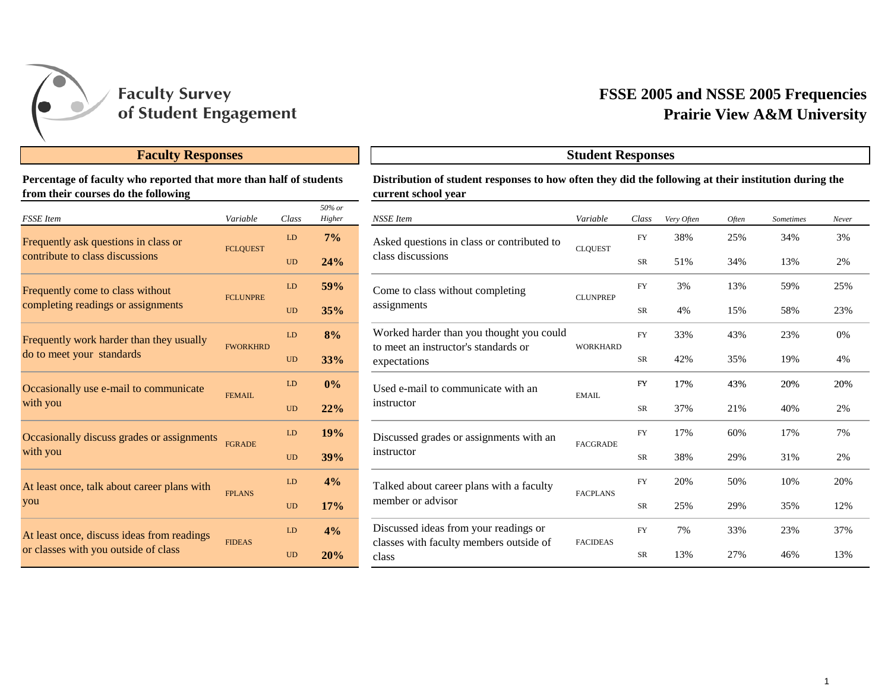

## **Faculty Responses**

**Percentage of faculty who reported that more than half of students from their courses do the following**

| <b>FSSE</b> Item                            | Variable        | Class     | 50% or<br>Higher |
|---------------------------------------------|-----------------|-----------|------------------|
| Frequently ask questions in class or        | <b>FCLQUEST</b> | LD        | $7\%$            |
| contribute to class discussions             |                 | <b>UD</b> | 24%              |
| Frequently come to class without            | <b>FCLUNPRE</b> | LD        | 59%              |
| completing readings or assignments          |                 | <b>UD</b> | 35%              |
| Frequently work harder than they usually    | <b>FWORKHRD</b> | LD        | 8%               |
| do to meet your standards                   |                 | <b>UD</b> | 33%              |
| Occasionally use e-mail to communicate      | <b>FEMAIL</b>   | LD        | $0\%$            |
| with you                                    |                 | <b>UD</b> | 22%              |
| Occasionally discuss grades or assignments  | <b>FGRADE</b>   | LD        | 19%              |
| with you                                    |                 | <b>UD</b> | 39%              |
| At least once, talk about career plans with | <b>FPLANS</b>   | LD        | 4%               |
| you                                         |                 | <b>UD</b> | 17%              |
| At least once, discuss ideas from readings  | <b>FIDEAS</b>   | LD        | 4%               |
| or classes with you outside of class        |                 | <b>UD</b> | 20%              |

# **Prairie View A&M University FSSE 2005 and NSSE 2005 Frequencies**

| Distribution of student responses to how often they did the following at their institution during the |
|-------------------------------------------------------------------------------------------------------|
| current school year                                                                                   |

**Student Responses**

| $50\%$ or<br>Higher | <b>NSSE</b> Item                                                                 | Variable        | Class      | Very Often | Often | <b>Sometimes</b> | Never |
|---------------------|----------------------------------------------------------------------------------|-----------------|------------|------------|-------|------------------|-------|
| 7%                  | Asked questions in class or contributed to                                       |                 | FY         | 38%        | 25%   | 34%              | 3%    |
| 24%                 | class discussions                                                                | <b>CLOUEST</b>  | SR         | 51%        | 34%   | 13%              | 2%    |
| 59%                 | Come to class without completing                                                 | <b>CLUNPREP</b> | ${\rm FY}$ | 3%         | 13%   | 59%              | 25%   |
| 35%                 | assignments                                                                      |                 | SR         | 4%         | 15%   | 58%              | 23%   |
| 8%                  | Worked harder than you thought you could<br>to meet an instructor's standards or |                 | <b>FY</b>  | 33%        | 43%   | 23%              | 0%    |
| 33%                 | expectations                                                                     | <b>WORKHARD</b> | SR         | 42%        | 35%   | 19%              | 4%    |
| 0%                  | Used e-mail to communicate with an<br>instructor                                 | <b>EMAIL</b>    | <b>FY</b>  | 17%        | 43%   | 20%              | 20%   |
| 22%                 |                                                                                  |                 | SR         | 37%        | 21%   | 40%              | 2%    |
| 19%                 | Discussed grades or assignments with an                                          | <b>FACGRADE</b> | FY         | 17%        | 60%   | 17%              | 7%    |
| 39%                 | instructor                                                                       |                 | SR         | 38%        | 29%   | 31%              | 2%    |
| 4%                  | Talked about career plans with a faculty                                         | <b>FACPLANS</b> | FY         | 20%        | 50%   | 10%              | 20%   |
| 17%                 | member or advisor                                                                |                 | SR         | 25%        | 29%   | 35%              | 12%   |
| 4%                  | Discussed ideas from your readings or                                            | <b>FACIDEAS</b> | ${\rm FY}$ | 7%         | 33%   | 23%              | 37%   |
| 20%                 | classes with faculty members outside of<br>class                                 |                 | SR         | 13%        | 27%   | 46%              | 13%   |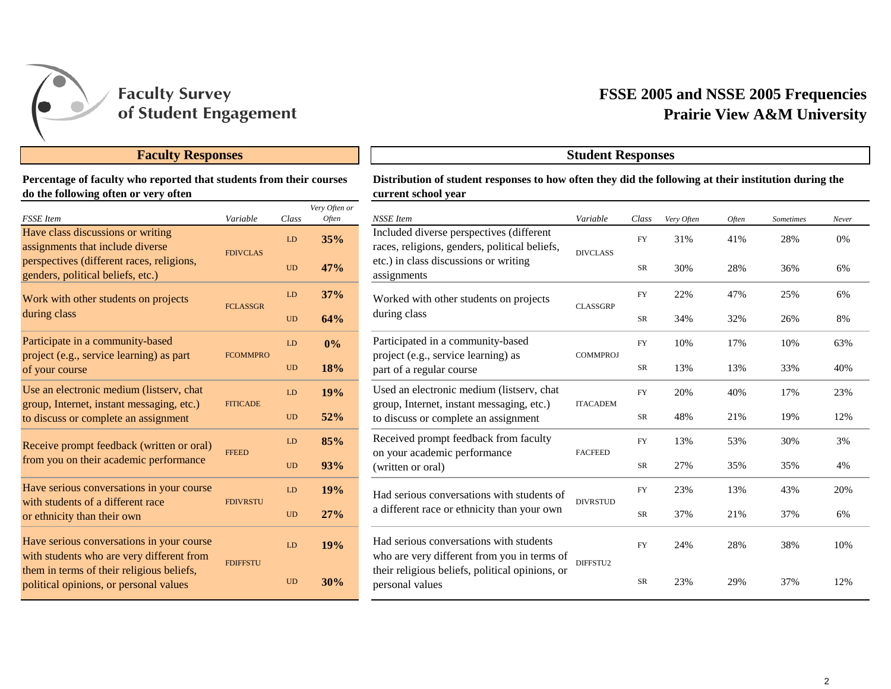

## **Faculty Responses Student Responses**

### **Percentage of faculty who reported that students from their courses do the following often or very often**

| <b>FSSE</b> Item                                                                       | Variable        | Class     | Very Often or<br>Often |
|----------------------------------------------------------------------------------------|-----------------|-----------|------------------------|
| Have class discussions or writing<br>assignments that include diverse                  | <b>FDIVCLAS</b> | LD        | 35%                    |
| perspectives (different races, religions,<br>genders, political beliefs, etc.)         |                 | <b>UD</b> | 47%                    |
| Work with other students on projects                                                   | <b>FCLASSGR</b> | LD        | 37%                    |
| during class                                                                           |                 | UD        | 64%                    |
| Participate in a community-based<br>project (e.g., service learning) as part           | <b>FCOMMPRO</b> | LD        | 0%                     |
| of your course                                                                         |                 | <b>UD</b> | 18%                    |
| Use an electronic medium (listserv, chat<br>group, Internet, instant messaging, etc.)  | <b>FITICADE</b> | LD        | 19%                    |
| to discuss or complete an assignment                                                   |                 | <b>UD</b> | 52%                    |
| Receive prompt feedback (written or oral)                                              | <b>FFEED</b>    | LD        | 85%                    |
| from you on their academic performance                                                 |                 | <b>UD</b> | 93%                    |
| Have serious conversations in your course<br>with students of a different race         | <b>FDIVRSTU</b> | LD        | 19%                    |
| or ethnicity than their own                                                            |                 | UD        | 27%                    |
| Have serious conversations in your course<br>with students who are very different from |                 | LD        | 19%                    |
| them in terms of their religious beliefs,<br>political opinions, or personal values    | <b>FDIFFSTU</b> | <b>UD</b> | 30%                    |

## **Prairie View A&M University FSSE 2005 and NSSE 2005 Frequencies**

## **Distribution of student responses to how often they did the following at their institution during the current school year**

| Often or<br><i><b>Often</b></i> | NSSE Item                                                                                                                      | Variable        | Class       | Very Often | Often | <b>Sometimes</b> | Never |
|---------------------------------|--------------------------------------------------------------------------------------------------------------------------------|-----------------|-------------|------------|-------|------------------|-------|
| 35%                             | Included diverse perspectives (different<br>races, religions, genders, political beliefs,                                      | <b>DIVCLASS</b> | FY          | 31%        | 41%   | 28%              | 0%    |
| 17%                             | etc.) in class discussions or writing<br>assignments                                                                           |                 | $_{\rm SR}$ | 30%        | 28%   | 36%              | 6%    |
| 37%                             | Worked with other students on projects                                                                                         | <b>CLASSGRP</b> | <b>FY</b>   | 22%        | 47%   | 25%              | 6%    |
| 54%                             | during class                                                                                                                   |                 | SR          | 34%        | 32%   | 26%              | 8%    |
| 0%                              | Participated in a community-based<br>project (e.g., service learning) as<br>part of a regular course                           | <b>COMMPROJ</b> | <b>FY</b>   | 10%        | 17%   | 10%              | 63%   |
| 18%                             |                                                                                                                                |                 | SR          | 13%        | 13%   | 33%              | 40%   |
| 19%                             | Used an electronic medium (listserv, chat<br>group, Internet, instant messaging, etc.)<br>to discuss or complete an assignment | <b>ITACADEM</b> | <b>FY</b>   | 20%        | 40%   | 17%              | 23%   |
| 52%                             |                                                                                                                                |                 | SR          | 48%        | 21%   | 19%              | 12%   |
| 35%                             | Received prompt feedback from faculty<br>on your academic performance                                                          | <b>FACFEED</b>  | <b>FY</b>   | 13%        | 53%   | 30%              | 3%    |
| $3\%$                           | (written or oral)                                                                                                              |                 | SR          | 27%        | 35%   | 35%              | 4%    |
| 19%                             | Had serious conversations with students of                                                                                     | <b>DIVRSTUD</b> | <b>FY</b>   | 23%        | 13%   | 43%              | 20%   |
| 27%                             | a different race or ethnicity than your own                                                                                    |                 | $_{\rm SR}$ | 37%        | 21%   | 37%              | 6%    |
| 19%                             | Had serious conversations with students<br>who are very different from you in terms of                                         | DIFFSTU2        | <b>FY</b>   | 24%        | 28%   | 38%              | 10%   |
| 30%                             | their religious beliefs, political opinions, or<br>personal values                                                             |                 | SR          | 23%        | 29%   | 37%              | 12%   |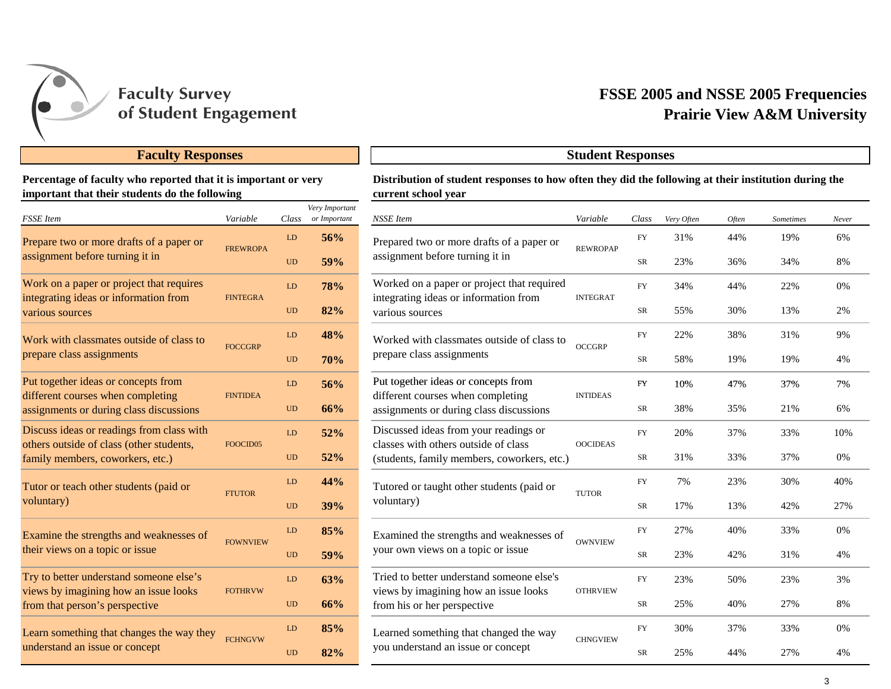

## **Faculty Responses Student Responses**

**Percentage of faculty who reported that it is important or very important that their students do the following**

| <b>FSSE</b> Item                                                                 | Variable        | Class     | Very Important<br>or Important |
|----------------------------------------------------------------------------------|-----------------|-----------|--------------------------------|
| Prepare two or more drafts of a paper or                                         |                 | LD        | 56%                            |
| assignment before turning it in                                                  | <b>FREWROPA</b> | <b>UD</b> | 59%                            |
| Work on a paper or project that requires                                         | <b>FINTEGRA</b> | LD        | <b>78%</b>                     |
| integrating ideas or information from<br>various sources                         |                 | UD        | 82%                            |
| Work with classmates outside of class to                                         | <b>FOCCGRP</b>  | LD        | 48%                            |
| prepare class assignments                                                        |                 | <b>UD</b> | 70%                            |
| Put together ideas or concepts from<br>different courses when completing         | <b>FINTIDEA</b> | LD        | 56%                            |
| assignments or during class discussions                                          |                 | <b>UD</b> | 66%                            |
| Discuss ideas or readings from class with                                        |                 | LD        | 52%                            |
| others outside of class (other students,<br>family members, coworkers, etc.)     | FOOCID05        | <b>UD</b> | 52%                            |
| Tutor or teach other students (paid or                                           | <b>FTUTOR</b>   | LD        | 44%                            |
| voluntary)                                                                       |                 | <b>UD</b> | 39%                            |
| Examine the strengths and weaknesses of                                          | <b>FOWNVIEW</b> | LD        | 85%                            |
| their views on a topic or issue                                                  |                 | <b>UD</b> | 59%                            |
| Try to better understand someone else's<br>views by imagining how an issue looks | <b>FOTHRVW</b>  | LD        | 63%                            |
| from that person's perspective                                                   |                 | <b>UD</b> | 66%                            |
| Learn something that changes the way they                                        | <b>FCHNGVW</b>  | LD        | 85%                            |
| understand an issue or concept                                                   |                 | UD        | 82%                            |

# **Prairie View A&M University FSSE 2005 and NSSE 2005 Frequencies**

| Distribution of student responses to how often they did the following at their institution during the |  |
|-------------------------------------------------------------------------------------------------------|--|
| current school year                                                                                   |  |

|                | Class                      | Very Important<br>or Important | <b>NSSE</b> Item                                                                    | Variable        | Class      | Very Often | Often | <b>Sometimes</b> | Never |  |
|----------------|----------------------------|--------------------------------|-------------------------------------------------------------------------------------|-----------------|------------|------------|-------|------------------|-------|--|
| PA             | LD                         | 56%                            | Prepared two or more drafts of a paper or                                           | <b>REWROPAP</b> | <b>FY</b>  | 31%        | 44%   | 19%              | 6%    |  |
|                | <b>UD</b>                  | 59%                            | assignment before turning it in                                                     |                 | SR         | 23%        | 36%   | 34%              | 8%    |  |
| A              | LD                         | 78%                            | Worked on a paper or project that required<br>integrating ideas or information from | <b>INTEGRAT</b> | FY         | 34%        | 44%   | 22%              | 0%    |  |
|                | $\ensuremath{\mathrm{UD}}$ | 82%                            | various sources                                                                     |                 | <b>SR</b>  | 55%        | 30%   | 13%              | 2%    |  |
|                | ${\rm LD}$                 | 48%                            | Worked with classmates outside of class to                                          | <b>OCCGRP</b>   | ${\rm FY}$ | 22%        | 38%   | 31%              | 9%    |  |
|                | <b>UD</b>                  | 70%                            | prepare class assignments                                                           |                 | <b>SR</b>  | 58%        | 19%   | 19%              | 4%    |  |
|                | ${\rm LD}$                 | 56%                            | Put together ideas or concepts from                                                 | <b>INTIDEAS</b> | <b>FY</b>  | 10%        | 47%   | 37%              | 7%    |  |
|                | <b>UD</b>                  | 66%                            | different courses when completing<br>assignments or during class discussions        |                 | SR         | 38%        | 35%   | 21%              | 6%    |  |
| $\overline{5}$ | LD                         | 52%                            | Discussed ideas from your readings or<br>classes with others outside of class       | <b>OOCIDEAS</b> | ${\rm FY}$ | 20%        | 37%   | 33%              | 10%   |  |
|                | <b>UD</b>                  | 52%                            | (students, family members, coworkers, etc.)                                         |                 | SR         | 31%        | 33%   | 37%              | 0%    |  |
|                | LD                         | 44%                            | Tutored or taught other students (paid or                                           | <b>TUTOR</b>    | <b>FY</b>  | 7%         | 23%   | 30%              | 40%   |  |
|                | <b>UD</b>                  | 39%                            | voluntary)                                                                          |                 | SR         | 17%        | 13%   | 42%              | 27%   |  |
| EW             | LD                         | 85%                            | Examined the strengths and weaknesses of                                            | <b>OWNVIEW</b>  | <b>FY</b>  | 27%        | 40%   | 33%              | 0%    |  |
|                | <b>UD</b>                  | 59%                            | your own views on a topic or issue                                                  |                 | SR         | 23%        | 42%   | 31%              | 4%    |  |
| W              | LD                         | 63%                            | Tried to better understand someone else's<br>views by imagining how an issue looks  | <b>OTHRVIEW</b> | <b>FY</b>  | 23%        | 50%   | 23%              | 3%    |  |
|                | <b>UD</b>                  | 66%                            | from his or her perspective                                                         |                 | SR         | 25%        | 40%   | 27%              | 8%    |  |
|                | LD                         | 85%                            | Learned something that changed the way                                              | <b>CHNGVIEW</b> | <b>FY</b>  | 30%        | 37%   | 33%              | 0%    |  |
| W              | <b>UD</b>                  | 82%                            | you understand an issue or concept                                                  |                 | SR         | 25%        | 44%   | 27%              | 4%    |  |
|                |                            |                                |                                                                                     |                 |            |            |       |                  |       |  |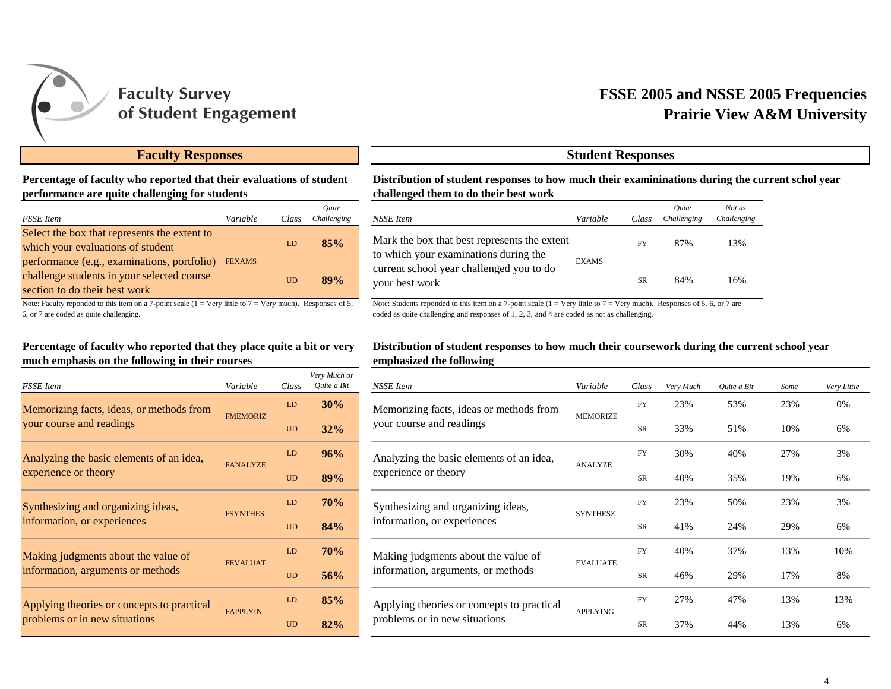

## **Prairie View A&M University FSSE 2005 and NSSE 2005 Frequencies**

## **Faculty Responses Student Responses**

## **Percentage of faculty who reported that their evaluations of student performance are quite challenging for students**

| <b>FSSE</b> Item                                                                                                           | Variable      | Class | Ouite<br>Challenging |
|----------------------------------------------------------------------------------------------------------------------------|---------------|-------|----------------------|
| Select the box that represents the extent to<br>which your evaluations of student                                          |               | LD    | 85%                  |
| performance (e.g., examinations, portfolio)<br>challenge students in your selected course<br>section to do their best work | <b>FEXAMS</b> | UD    | 89%                  |

Note: Faculty reponded to this item on a 7-point scale  $(1 = V$ ery little to  $7 = V$ ery much). Responses of 5, 6, or 7 are coded as quite challenging.

### **Percentage of faculty who reported that they place quite a bit or very much emphasis on the following in their courses**

| <b>FSSE</b> Item                                                 | Variable        | Class | Very Much or<br>Quite a Bit |
|------------------------------------------------------------------|-----------------|-------|-----------------------------|
| Memorizing facts, ideas, or methods from                         | <b>FMEMORIZ</b> | LD    | 30%                         |
| your course and readings                                         |                 | UD    | 32%                         |
| Analyzing the basic elements of an idea,<br>experience or theory | <b>FANALYZE</b> | LD    | 96%                         |
|                                                                  |                 | UD    | 89%                         |
| Synthesizing and organizing ideas,                               | <b>FSYNTHES</b> | LD    | 70%                         |
| information, or experiences                                      |                 | UD    | 84%                         |
| Making judgments about the value of                              | <b>FEVALUAT</b> | LD    | 70%                         |
| information, arguments or methods                                |                 | UD    | 56%                         |
| Applying theories or concepts to practical                       | <b>FAPPLYIN</b> | ID    | 85%                         |
| problems or in new situations                                    |                 | UD    | 82%                         |

**Distribution of student responses to how much their examininations during the current schol year challenged them to do their best work**

| $\epsilon$ | Class     | Ouite<br>Challenging | NSSE Item                                                                                                                                           | Variable           | Class     | Ouite<br>Challenging | Not as<br>Challenging |
|------------|-----------|----------------------|-----------------------------------------------------------------------------------------------------------------------------------------------------|--------------------|-----------|----------------------|-----------------------|
|            | LD        | 85%                  | Mark the box that best represents the extent<br>to which your examinations during the<br>current school year challenged you to do<br>your best work | FY<br><b>EXAMS</b> |           | 87%                  | 13%                   |
|            | <b>UD</b> | 89%                  |                                                                                                                                                     |                    | <b>SR</b> | 84%                  | 16%                   |

Note: Students reponded to this item on a 7-point scale  $(1 = \text{Very little to } 7 = \text{Very much})$ . Responses of 5, 6, or 7 are coded as quite challenging and responses of 1, 2, 3, and 4 are coded as not as challenging.

#### **Distribution of student responses to how much their coursework during the current school year emphasized the following**

| Very Much or |                                                                             |                 |           |           |             |      |             |
|--------------|-----------------------------------------------------------------------------|-----------------|-----------|-----------|-------------|------|-------------|
| Ouite a Bit  | NSSE Item                                                                   | Variable        | Class     | Very Much | Ouite a Bit | Some | Very Little |
| 30%          | Memorizing facts, ideas or methods from                                     | <b>MEMORIZE</b> | <b>FY</b> | 23%       | 53%         | 23%  | 0%          |
| 32%          | your course and readings                                                    |                 | <b>SR</b> | 33%       | 51%         | 10%  | 6%          |
| 96%          | Analyzing the basic elements of an idea,                                    | <b>ANALYZE</b>  | <b>FY</b> | 30%       | 40%         | 27%  | 3%          |
| 89%          | experience or theory                                                        |                 | <b>SR</b> | 40%       | 35%         | 19%  | 6%          |
| 70%          | Synthesizing and organizing ideas,<br>information, or experiences           | <b>SYNTHESZ</b> | <b>FY</b> | 23%       | 50%         | 23%  | 3%          |
| 84%          |                                                                             |                 | <b>SR</b> | 41%       | 24%         | 29%  | 6%          |
| <b>70%</b>   | Making judgments about the value of                                         | <b>EVALUATE</b> | <b>FY</b> | 40%       | 37%         | 13%  | 10%         |
| 56%          | information, arguments, or methods                                          |                 | <b>SR</b> | 46%       | 29%         | 17%  | 8%          |
| 85%          | Applying theories or concepts to practical<br>problems or in new situations | <b>APPLYING</b> | <b>FY</b> | 27%       | 47%         | 13%  | 13%         |
| 82%          |                                                                             |                 | <b>SR</b> | 37%       | 44%         | 13%  | 6%          |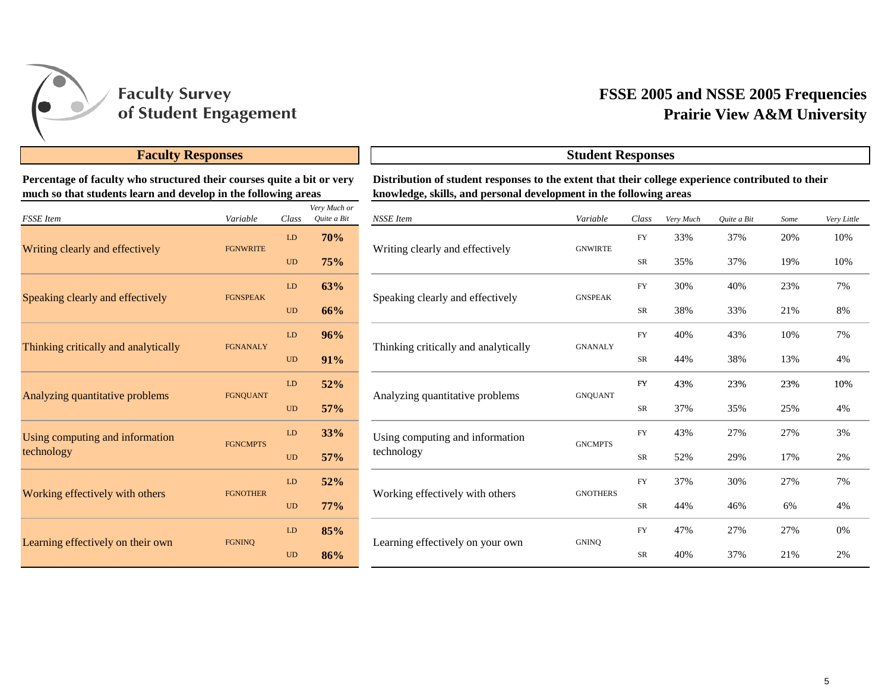

## **Prairie View A&M University FSSE 2005 and NSSE 2005 Frequencies**

## **Faculty Responses Student Responses**

**Percentage of faculty who structured their courses quite a bit or very much so that students learn and develop in the following areas**

| <b>FSSE</b> Item                     | Variable        | Class     | Very Much or<br>Quite a Bit |
|--------------------------------------|-----------------|-----------|-----------------------------|
|                                      |                 | LD        | 70%                         |
| Writing clearly and effectively      | <b>FGNWRITE</b> | <b>UD</b> | 75%                         |
| Speaking clearly and effectively     | <b>FGNSPEAK</b> | LD        | 63%                         |
|                                      |                 | <b>UD</b> | 66%                         |
| Thinking critically and analytically | <b>FGNANALY</b> | LD        | 96%                         |
|                                      |                 | <b>UD</b> | 91%                         |
| Analyzing quantitative problems      | <b>FGNQUANT</b> | LD        | 52%                         |
|                                      |                 | <b>UD</b> | 57%                         |
| Using computing and information      | <b>FGNCMPTS</b> | LD        | 33%                         |
| technology                           |                 | <b>UD</b> | 57%                         |
|                                      | <b>FGNOTHER</b> | LD        | 52%                         |
| Working effectively with others      |                 | <b>UD</b> | 77%                         |
|                                      | <b>FGNINO</b>   | LD        | 85%                         |
| Learning effectively on their own    |                 | <b>UD</b> | 86%                         |

**Distribution of student responses to the extent that their college experience contributed to their knowledge, skills, and personal development in the following areas**

| ery Much or<br>Quite a Bit | NSSE Item                            | Variable        | Class      | Very Much | Quite a Bit | Some | Very Little |
|----------------------------|--------------------------------------|-----------------|------------|-----------|-------------|------|-------------|
| 70%                        |                                      | <b>GNWIRTE</b>  | ${\rm FY}$ | 33%       | 37%         | 20%  | 10%         |
| 75%                        | Writing clearly and effectively      |                 | ${\rm SR}$ | 35%       | 37%         | 19%  | 10%         |
| 63%                        |                                      | <b>GNSPEAK</b>  | <b>FY</b>  | 30%       | 40%         | 23%  | 7%          |
| 66%                        | Speaking clearly and effectively     |                 | SR         | 38%       | 33%         | 21%  | 8%          |
| 96%                        |                                      | <b>GNANALY</b>  | <b>FY</b>  | 40%       | 43%         | 10%  | 7%          |
| 91%                        | Thinking critically and analytically |                 | SR         | 44%       | 38%         | 13%  | 4%          |
| 52%                        |                                      | <b>GNQUANT</b>  | <b>FY</b>  | 43%       | 23%         | 23%  | 10%         |
| 57%                        | Analyzing quantitative problems      |                 | SR         | 37%       | 35%         | 25%  | 4%          |
| 33%                        | Using computing and information      | <b>GNCMPTS</b>  | <b>FY</b>  | 43%       | 27%         | 27%  | 3%          |
| 57%                        | technology                           |                 | ${\rm SR}$ | 52%       | 29%         | 17%  | 2%          |
| 52%                        |                                      | <b>GNOTHERS</b> | <b>FY</b>  | 37%       | 30%         | 27%  | 7%          |
| 77%                        | Working effectively with others      |                 | SR         | 44%       | 46%         | 6%   | 4%          |
| 85%                        |                                      |                 | <b>FY</b>  | 47%       | 27%         | 27%  | 0%          |
| 86%                        | Learning effectively on your own     | <b>GNINQ</b>    | SR         | 40%       | 37%         | 21%  | 2%          |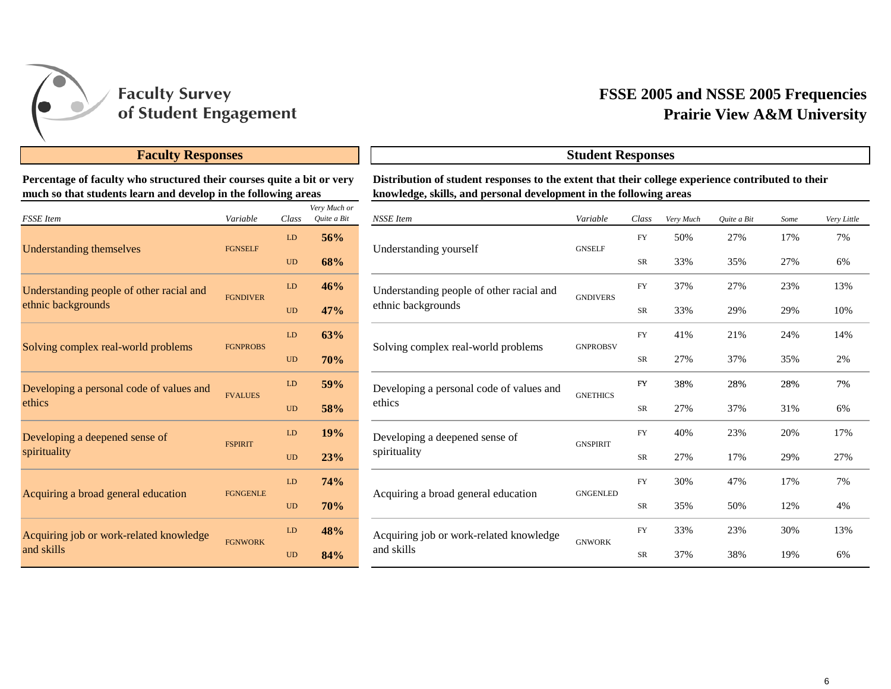

## **Prairie View A&M University FSSE 2005 and NSSE 2005 Frequencies**

## **Faculty Responses Student Responses**

**Percentage of faculty who structured their courses quite a bit or very much so that students learn and develop in the following areas**

| <b>FSSE</b> Item                         | Variable        | Class     | Very Much or<br>Quite a Bit |
|------------------------------------------|-----------------|-----------|-----------------------------|
|                                          | <b>FGNSELF</b>  | LD        | 56%                         |
| <b>Understanding themselves</b>          |                 | <b>UD</b> | 68%                         |
| Understanding people of other racial and | <b>FGNDIVER</b> | LD        | 46%                         |
| ethnic backgrounds                       |                 | <b>UD</b> | 47%                         |
|                                          | <b>FGNPROBS</b> | LD        | 63%                         |
| Solving complex real-world problems      |                 | <b>UD</b> | 70%                         |
| Developing a personal code of values and | <b>FVALUES</b>  | LD        | 59%                         |
| ethics                                   |                 | <b>UD</b> | 58%                         |
| Developing a deepened sense of           | <b>FSPIRIT</b>  | LD        | 19%                         |
| spirituality                             |                 | <b>UD</b> | 23%                         |
|                                          | <b>FGNGENLE</b> | LD        | 74%                         |
| Acquiring a broad general education      |                 | <b>UD</b> | 70%                         |
| Acquiring job or work-related knowledge  |                 | LD        | 48%                         |
| and skills                               | <b>FGNWORK</b>  | <b>UD</b> | 84%                         |

**Distribution of student responses to the extent that their college experience contributed to their knowledge, skills, and personal development in the following areas**

| ery Much or<br>Quite a Bit | <b>NSSE</b> Item                         | Variable        | Class      | Very Much | Quite a Bit | Some | Very Little |
|----------------------------|------------------------------------------|-----------------|------------|-----------|-------------|------|-------------|
| 56%                        |                                          |                 | FY         | 50%       | 27%         | 17%  | 7%          |
| 68%                        | Understanding yourself                   | <b>GNSELF</b>   | <b>SR</b>  | 33%       | 35%         | 27%  | 6%          |
| 46%                        | Understanding people of other racial and | <b>GNDIVERS</b> | <b>FY</b>  | 37%       | 27%         | 23%  | 13%         |
| 47%                        | ethnic backgrounds                       |                 | <b>SR</b>  | 33%       | 29%         | 29%  | 10%         |
| 63%                        |                                          |                 | ${\rm FY}$ | 41%       | 21%         | 24%  | 14%         |
| 70%                        | Solving complex real-world problems      | <b>GNPROBSV</b> | <b>SR</b>  | 27%       | 37%         | 35%  | 2%          |
| 59%                        | Developing a personal code of values and | <b>GNETHICS</b> | ${\rm FY}$ | 38%       | 28%         | 28%  | 7%          |
| 58%                        | ethics                                   |                 | SR         | 27%       | 37%         | 31%  | 6%          |
| 19%                        | Developing a deepened sense of           |                 | ${\rm FY}$ | 40%       | 23%         | 20%  | 17%         |
| 23%                        | spirituality                             | <b>GNSPIRIT</b> | SR         | 27%       | 17%         | 29%  | 27%         |
| 74%                        | Acquiring a broad general education      |                 | <b>FY</b>  | 30%       | 47%         | 17%  | 7%          |
| 70%                        |                                          | <b>GNGENLED</b> | SR         | 35%       | 50%         | 12%  | 4%          |
| 48%                        | Acquiring job or work-related knowledge  |                 | ${\rm FY}$ | 33%       | 23%         | 30%  | 13%         |
| 84%                        | and skills                               | <b>GNWORK</b>   | <b>SR</b>  | 37%       | 38%         | 19%  | 6%          |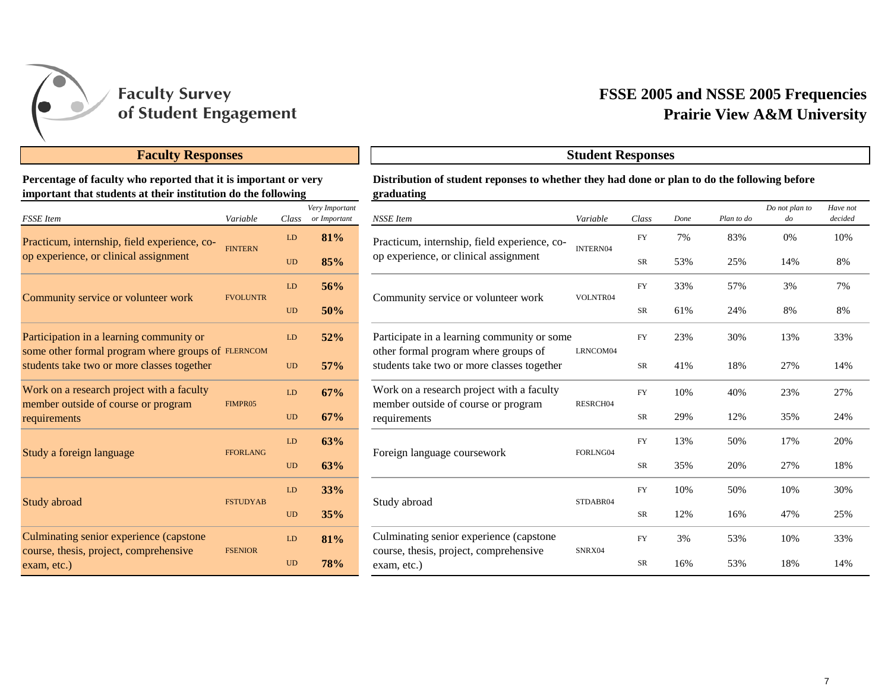

## **Faculty Responses Student Responses**

## **Percentage of faculty who reported that it is important or very important that students at their institution do the following**

| <b>FSSE</b> Item                                                                                 | Variable        | Class     | Very Important<br>or Important | <b>NSSE</b> Item                                                                   | Variable        |  |
|--------------------------------------------------------------------------------------------------|-----------------|-----------|--------------------------------|------------------------------------------------------------------------------------|-----------------|--|
| Practicum, internship, field experience, co-                                                     | <b>FINTERN</b>  | LD        | 81%                            | Practicum, internship, field experience, co-                                       | <b>INTERN04</b> |  |
| op experience, or clinical assignment                                                            |                 | <b>UD</b> | 85%                            | op experience, or clinical assignment                                              |                 |  |
| Community service or volunteer work                                                              | <b>FVOLUNTR</b> | LD        | 56%                            | Community service or volunteer work                                                | VOLNTR0         |  |
|                                                                                                  |                 | <b>UD</b> | 50%                            |                                                                                    |                 |  |
| Participation in a learning community or                                                         |                 | LD        | 52%                            | Participate in a learning community or some                                        |                 |  |
| some other formal program where groups of FLERNCOM<br>students take two or more classes together |                 | <b>UD</b> | 57%                            | other formal program where groups of<br>students take two or more classes together | LRNCOM(         |  |
| Work on a research project with a faculty                                                        | FIMPR05         | LD        | 67%                            | Work on a research project with a faculty<br>member outside of course or program   | <b>RESRCHO</b>  |  |
| member outside of course or program<br>requirements                                              |                 | <b>UD</b> | 67%                            | requirements                                                                       |                 |  |
| Study a foreign language                                                                         | <b>FFORLANG</b> | LD        | 63%                            | Foreign language coursework                                                        | FORLNG0         |  |
|                                                                                                  |                 | <b>UD</b> | 63%                            |                                                                                    |                 |  |
| Study abroad                                                                                     | <b>FSTUDYAB</b> | LD        | 33%                            | Study abroad                                                                       |                 |  |
|                                                                                                  |                 | <b>UD</b> | 35%                            |                                                                                    | STDABR0         |  |
| Culminating senior experience (capstone                                                          | <b>FSENIOR</b>  | LD        | 81%                            | Culminating senior experience (capstone)                                           | SNRX04          |  |
| course, thesis, project, comprehensive<br>exam, etc.)                                            |                 | <b>UD</b> | 78%                            | course, thesis, project, comprehensive<br>exam, etc.)                              |                 |  |

# **Prairie View A&M University FSSE 2005 and NSSE 2005 Frequencies**

## **Distribution of student reponses to whether they had done or plan to do the following before graduating**

| ery Important<br>or Important | <b>NSSE</b> Item                                                                   | Variable | Class      | Done | Plan to do | Do not plan to<br>$d$ o | Have not<br>decided |
|-------------------------------|------------------------------------------------------------------------------------|----------|------------|------|------------|-------------------------|---------------------|
| 81%                           | Practicum, internship, field experience, co-                                       | INTERN04 | <b>FY</b>  | 7%   | 83%        | 0%                      | 10%                 |
| 85%                           | op experience, or clinical assignment                                              |          | <b>SR</b>  | 53%  | 25%        | 14%                     | 8%                  |
| 56%                           |                                                                                    | VOLNTR04 | <b>FY</b>  | 33%  | 57%        | 3%                      | 7%                  |
| 50%                           | Community service or volunteer work                                                |          | SR         | 61%  | 24%        | 8%                      | 8%                  |
| 52%                           | Participate in a learning community or some                                        |          | ${\rm FY}$ | 23%  | 30%        | 13%                     | 33%                 |
| 57%                           | other formal program where groups of<br>students take two or more classes together | LRNCOM04 | SR         | 41%  | 18%        | 27%                     | 14%                 |
| 67%                           | Work on a research project with a faculty                                          | RESRCH04 | <b>FY</b>  | 10%  | 40%        | 23%                     | 27%                 |
| 67%                           | member outside of course or program<br>requirements                                |          | SR         | 29%  | 12%        | 35%                     | 24%                 |
| 63%                           |                                                                                    |          | ${\rm FY}$ | 13%  | 50%        | 17%                     | 20%                 |
| 63%                           | Foreign language coursework                                                        | FORLNG04 | SR         | 35%  | 20%        | 27%                     | 18%                 |
| 33%                           |                                                                                    |          | ${\rm FY}$ | 10%  | 50%        | 10%                     | 30%                 |
| 35%                           | Study abroad                                                                       | STDABR04 | SR         | 12%  | 16%        | 47%                     | 25%                 |
| 81%                           | Culminating senior experience (capstone                                            |          | ${\rm FY}$ | 3%   | 53%        | 10%                     | 33%                 |
| 78%                           | course, thesis, project, comprehensive<br>exam, etc.)                              | SNRX04   | <b>SR</b>  | 16%  | 53%        | 18%                     | 14%                 |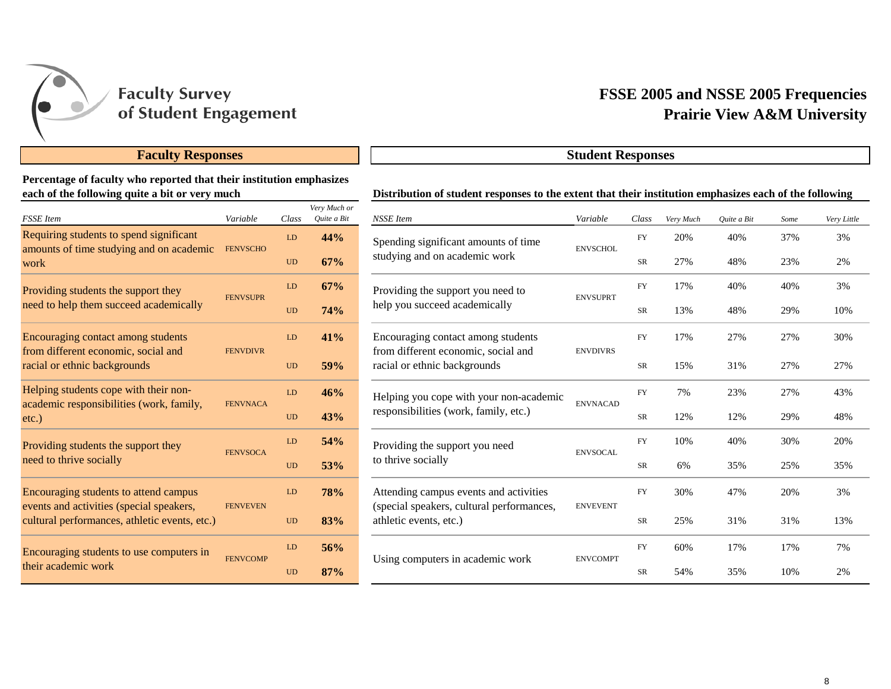

## **Faculty Responses Student Responses**

## **Percentage of faculty who reported that their institution emphasizes each of the following quite a bit or very much**

| <b>FSSE</b> Item                                                                          | Variable        | Class     | Very Much or<br>Quite a Bit |
|-------------------------------------------------------------------------------------------|-----------------|-----------|-----------------------------|
| Requiring students to spend significant                                                   | <b>FENVSCHO</b> | LD        | 44%                         |
| amounts of time studying and on academic<br>work                                          |                 | <b>UD</b> | 67%                         |
| Providing students the support they                                                       | <b>FENVSUPR</b> | LD        | 67%                         |
| need to help them succeed academically                                                    |                 | <b>UD</b> | 74%                         |
| Encouraging contact among students                                                        |                 | LD        | 41%                         |
| from different economic, social and<br>racial or ethnic backgrounds                       | <b>FENVDIVR</b> | UD        | 59%                         |
| Helping students cope with their non-                                                     | <b>FENVNACA</b> | LD        | 46%                         |
| academic responsibilities (work, family,<br>$etc.$ )                                      |                 | <b>UD</b> | 43%                         |
| Providing students the support they                                                       | <b>FENVSOCA</b> | LD        | 54%                         |
| need to thrive socially                                                                   |                 | <b>UD</b> | 53%                         |
| Encouraging students to attend campus                                                     |                 | LD        | <b>78%</b>                  |
| events and activities (special speakers,<br>cultural performances, athletic events, etc.) | <b>FENVEVEN</b> | <b>UD</b> | 83%                         |
| Encouraging students to use computers in                                                  | <b>FENVCOMP</b> | LD        | 56%                         |
| their academic work                                                                       |                 | <b>UD</b> | 87%                         |

# **Prairie View A&M University FSSE 2005 and NSSE 2005 Frequencies**

|                             |            |                                       | Distribution of student responses to the extent that their institution emphasizes each of the following |                 |            |           |             |      |             |
|-----------------------------|------------|---------------------------------------|---------------------------------------------------------------------------------------------------------|-----------------|------------|-----------|-------------|------|-------------|
|                             | Class      | Very Much or<br>Quite a Bit           | <b>NSSE</b> Item                                                                                        | Variable        | Class      | Very Much | Quite a Bit | Some | Very Little |
|                             | ${\rm LD}$ | 44%                                   | Spending significant amounts of time                                                                    | <b>ENVSCHOL</b> | FY         | 20%       | 40%         | 37%  | 3%          |
|                             | <b>UD</b>  | 67%                                   | studying and on academic work                                                                           |                 | ${\rm SR}$ | 27%       | 48%         | 23%  | 2%          |
|                             | LD         | 67%                                   | Providing the support you need to                                                                       | <b>ENVSUPRT</b> | FY         | 17%       | 40%         | 40%  | 3%          |
|                             | <b>UD</b>  | 74%                                   | help you succeed academically                                                                           |                 | SR         | 13%       | 48%         | 29%  | 10%         |
|                             | ${\rm LD}$ | 41%                                   | Encouraging contact among students                                                                      |                 | ${\rm FY}$ | 17%       | 27%         | 27%  | 30%         |
| <b>UD</b>                   |            | 59%                                   | from different economic, social and<br>racial or ethnic backgrounds                                     | <b>ENVDIVRS</b> | SR         | 15%       | 31%         | 27%  | 27%         |
|                             | LD         | 46%                                   | Helping you cope with your non-academic                                                                 | <b>ENVNACAD</b> | <b>FY</b>  | 7%        | 23%         | 27%  | 43%         |
| A<br>$\rm UD$               | 43%        | responsibilities (work, family, etc.) |                                                                                                         | SR              | 12%        | 12%       | 29%         | 48%  |             |
|                             | LD         | 54%                                   | Providing the support you need                                                                          |                 | FY         | 10%       | 40%         | 30%  | 20%         |
| A                           | <b>UD</b>  | 53%                                   | to thrive socially                                                                                      | <b>ENVSOCAL</b> | <b>SR</b>  | 6%        | 35%         | 25%  | 35%         |
| Ñ                           | LD         | 78%                                   | Attending campus events and activities<br>(special speakers, cultural performances,                     | <b>ENVEVENT</b> | ${\rm FY}$ | 30%       | 47%         | 20%  | 3%          |
| <b>UD</b>                   |            | 83%                                   | athletic events, etc.)                                                                                  |                 | SR         | 25%       | 31%         | 31%  | 13%         |
|                             | ${\rm LD}$ | 56%                                   |                                                                                                         | <b>ENVCOMPT</b> | ${\rm FY}$ | 60%       | 17%         | 17%  | 7%          |
| $\overline{P}$<br><b>UD</b> |            | 87%                                   | Using computers in academic work                                                                        |                 | SR         | 54%       | 35%         | 10%  | 2%          |